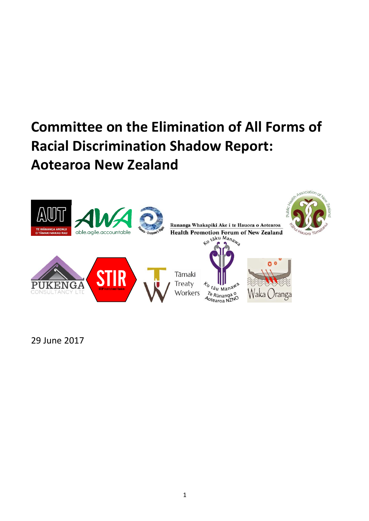

29 June 2017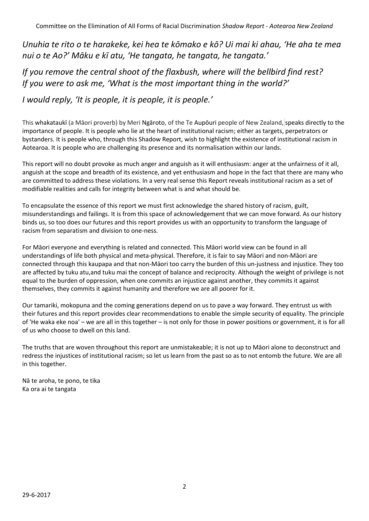*Unuhia te rito o te harakeke, kei hea te kōmako e kō? Ui mai ki ahau, 'He aha te mea nui o te Ao?' Māku e kī atu, 'He tangata, he tangata, he tangata.'*

*If you remove the central shoot of the flaxbush, where will the bellbird find rest? If you were to ask me, 'What is the most important thing in the world?'*

*I would reply, 'It is people, it is people, it is people.'*

This whakataukī (a Māori proverb) by Meri Ngāroto, of the Te Aupōuri people of New Zealand, speaks directly to the importance of people. It is people who lie at the heart of institutional racism; either as targets, perpetrators or bystanders. It is people who, through this Shadow Report, wish to highlight the existence of institutional racism in Aotearoa. It is people who are challenging its presence and its normalisation within our lands.

This report will no doubt provoke as much anger and anguish as it will enthusiasm: anger at the unfairness of it all, anguish at the scope and breadth of its existence, and yet enthusiasm and hope in the fact that there are many who are committed to address these violations. In a very real sense this Report reveals institutional racism as a set of modifiable realities and calls for integrity between what is and what should be.

To encapsulate the essence of this report we must first acknowledge the shared history of racism, guilt, misunderstandings and failings. It is from this space of acknowledgement that we can move forward. As our history binds us, so too does our futures and this report provides us with an opportunity to transform the language of racism from separatism and division to one-ness.

For Māori everyone and everything is related and connected. This Māori world view can be found in all understandings of life both physical and meta-physical. Therefore, it is fair to say Māori and non-Māori are connected through this kaupapa and that non-Māori too carry the burden of this un-justness and injustice. They too are affected by tuku atu,and tuku mai the concept of balance and reciprocity. Although the weight of privilege is not equal to the burden of oppression, when one commits an injustice against another, they commits it against themselves, they commits it against humanity and therefore we are all poorer for it.

Our tamariki, mokopuna and the coming generations depend on us to pave a way forward. They entrust us with their futures and this report provides clear recommendations to enable the simple security of equality. The principle of 'He waka eke noa' – we are all in this together – is not only for those in power positions or government, it is for all of us who choose to dwell on this land.

The truths that are woven throughout this report are unmistakeable; it is not up to Māori alone to deconstruct and redress the injustices of institutional racism; so let us learn from the past so as to not entomb the future. We are all in this together.

Nā te aroha, te pono, te tika Ka ora ai te tangata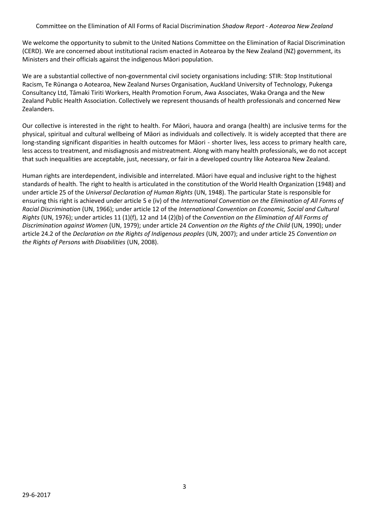We welcome the opportunity to submit to the United Nations Committee on the Elimination of Racial Discrimination (CERD). We are concerned about institutional racism enacted in Aotearoa by the New Zealand (NZ) government, its Ministers and their officials against the indigenous Māori population.

We are a substantial collective of non-governmental civil society organisations including: STIR: Stop Institutional Racism, Te Rūnanga o Aotearoa, New Zealand Nurses Organisation, Auckland University of Technology, Pukenga Consultancy Ltd, Tāmaki Tiriti Workers, Health Promotion Forum, Awa Associates, Waka Oranga and the New Zealand Public Health Association. Collectively we represent thousands of health professionals and concerned New Zealanders.

Our collective is interested in the right to health. For Māori, hauora and oranga (health) are inclusive terms for the physical, spiritual and cultural wellbeing of Māori as individuals and collectively. It is widely accepted that there are long-standing significant disparities in health outcomes for Māori - shorter lives, less access to primary health care, less access to treatment, and misdiagnosis and mistreatment. Along with many health professionals, we do not accept that such inequalities are acceptable, just, necessary, or fairin a developed country like Aotearoa New Zealand.

Human rights are interdependent, indivisible and interrelated. Māori have equal and inclusive right to the highest standards of health. The right to health is articulated in the constitution of the World Health Organization (1948) and under article 25 of the *Universal Declaration of Human Rights* (UN, 1948). The particular State is responsible for ensuring this right is achieved under article 5 e (iv) of the *International Convention on the Elimination of All Forms of Racial Discrimination* (UN, 1966); under article 12 of the *International Convention on Economic, Social and Cultural Rights* (UN, 1976); under articles 11 (1)(f), 12 and 14 (2)(b) of the *Convention on the Elimination of All Forms of Discrimination against Women* (UN, 1979); under article 24 *Convention on the Rights of the Child* (UN, 1990); under article 24.2 of the *Declaration on the Rights of Indigenous peoples* (UN, 2007); and under article 25 *Convention on the Rights of Persons with Disabilities* (UN, 2008).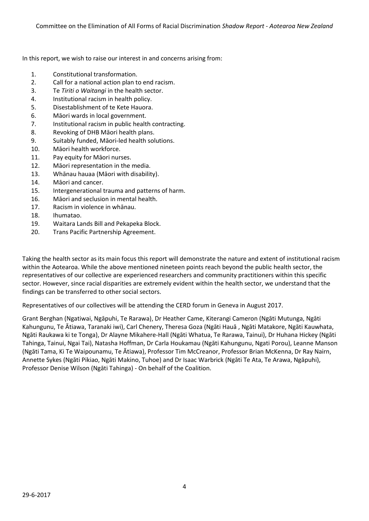In this report, we wish to raise our interest in and concerns arising from:

- 1. Constitutional transformation.
- 2. Call for a national action plan to end racism.
- 3. Te *Tiriti o Waitangi* in the health sector.
- 4. Institutional racism in health policy.
- 5. Disestablishment of te Kete Hauora.
- 6. Māori wards in local government.
- 7. Institutional racism in public health contracting.
- 8. Revoking of DHB Māori health plans.
- 9. Suitably funded, Māori-led health solutions.
- 10. Māori health workforce.
- 11. Pay equity for Māori nurses.
- 12. Māori representation in the media.
- 13. Whānau hauaa (Māori with disability).
- 14. Māori and cancer.
- 15. Intergenerational trauma and patterns of harm.
- 16. Māori and seclusion in mental health.
- 17. Racism in violence in whānau.
- 18. Ihumatao.
- 19. Waitara Lands Bill and Pekapeka Block.
- 20. Trans Pacific Partnership Agreement.

Taking the health sector as its main focus this report will demonstrate the nature and extent of institutional racism within the Aotearoa. While the above mentioned nineteen points reach beyond the public health sector, the representatives of our collective are experienced researchers and community practitioners within this specific sector. However, since racial disparities are extremely evident within the health sector, we understand that the findings can be transferred to other social sectors.

Representatives of our collectives will be attending the CERD forum in Geneva in August 2017.

Grant Berghan (Ngatiwai, Ngāpuhi, Te Rarawa), Dr Heather Came, Kiterangi Cameron (Ngāti Mutunga, Ngāti Kahungunu, Te Ātiawa, Taranaki iwi), Carl Chenery, Theresa Goza (Ngāti Hauā , Ngāti Matakore, Ngāti Kauwhata, Ngāti Raukawa ki te Tonga), Dr Alayne Mikahere-Hall (Ngāti Whatua, Te Rarawa, Tainui), Dr Huhana Hickey (Ngāti Tahinga, Tainui, Ngai Tai), Natasha Hoffman, Dr Carla Houkamau (Ngāti Kahungunu, Ngati Porou), Leanne Manson (Ngāti Tama, Ki Te Waipounamu, Te Ātiawa), Professor Tim McCreanor, Professor Brian McKenna, Dr Ray Nairn, Annette Sykes (Ngāti Pikiao, Ngāti Makino, Tuhoe) and Dr Isaac Warbrick (Ngāti Te Ata, Te Arawa, Ngāpuhi), Professor Denise Wilson (Ngāti Tahinga) - On behalf of the Coalition.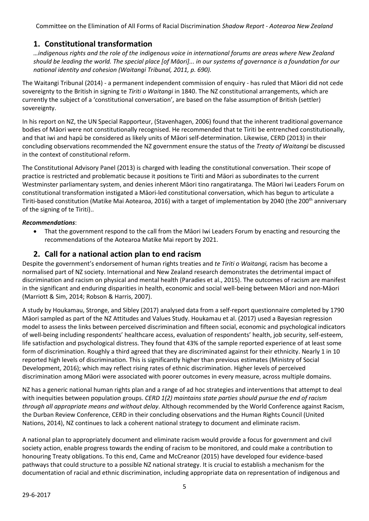# **1. Constitutional transformation**

*…indigenous rights and the role of the indigenous voice in international forums are areas where New Zealand should be leading the world. The special place [of Māori]... in our systems of governance is a foundation for our national identity and cohesion (Waitangi Tribunal, 2011, p. 690).*

The Waitangi Tribunal (2014) - a permanent independent commission of enquiry - has ruled that Māori did not cede sovereignty to the British in signing te *Tiriti o Waitangi* in 1840. The NZ constitutional arrangements, which are currently the subject of a 'constitutional conversation', are based on the false assumption of British (settler) sovereignty.

In his report on NZ, the UN Special Rapporteur, (Stavenhagen, 2006) found that the inherent traditional governance bodies of Māori were not constitutionally recognised. He recommended that te Tiriti be entrenched constitutionally, and that iwi and hapū be considered as likely units of Māori self-determination. Likewise, CERD (2013) in their concluding observations recommended the NZ government ensure the status of the *Treaty of Waitangi* be discussed in the context of constitutional reform.

The Constitutional Advisory Panel (2013) is charged with leading the constitutional conversation. Their scope of practice is restricted and problematic because it positions te Tiriti and Māori as subordinates to the current Westminster parliamentary system, and denies inherent Māori tino rangatiratanga. The Māori Iwi Leaders Forum on constitutional transformation instigated a Māori-led constitutional conversation, which has begun to articulate a Tiriti-based constitution (Matike Mai Aotearoa, 2016) with a target of implementation by 2040 (the 200<sup>th</sup> anniversary of the signing of te Tiriti)..

### *Recommendations*:

• That the government respond to the call from the Māori Iwi Leaders Forum by enacting and resourcing the recommendations of the Aotearoa Matike Mai report by 2021.

# **2. Call for a national action plan to end racism**

Despite the government's endorsement of human rights treaties and *te Tiriti o Waitangi,* racism has become a normalised part of NZ society. International and New Zealand research demonstrates the detrimental impact of discrimination and racism on physical and mental health (Paradies et al., 2015). The outcomes of racism are manifest in the significant and enduring disparities in health, economic and social well-being between Māori and non-Māori (Marriott & Sim, 2014; Robson & Harris, 2007).

A study by Houkamau, Stronge, and Sibley (2017) analysed data from a self-report questionnaire completed by 1790 Māori sampled as part of the NZ Attitudes and Values Study. Houkamau et al. (2017) used a Bayesian regression model to assess the links between perceived discrimination and fifteen social, economic and psychological indicators of well-being including respondents' healthcare access, evaluation of respondents' health, job security, self-esteem, life satisfaction and psychological distress. They found that 43% of the sample reported experience of at least some form of discrimination. Roughly a third agreed that they are discriminated against for their ethnicity. Nearly 1 in 10 reported high levels of discrimination. This is significantly higher than previous estimates (Ministry of Social Development, 2016); which may reflect rising rates of ethnic discrimination. Higher levels of perceived discrimination among Māori were associated with poorer outcomes in every measure, across multiple domains.

NZ has a generic national human rights plan and a range of ad hoc strategies and interventions that attempt to deal with inequities between population groups. *CERD 1(2) maintains state parties should pursue the end of racism through all appropriate means and without delay*. Although recommended by the World Conference against Racism, the Durban Review Conference, CERD in their concluding observations and the Human Rights Council (United Nations, 2014), NZ continues to lack a coherent national strategy to document and eliminate racism.

A national plan to appropriately document and eliminate racism would provide a focus for government and civil society action, enable progress towards the ending of racism to be monitored, and could make a contribution to honouring Treaty obligations. To this end, Came and McCreanor (2015) have developed four evidence-based pathways that could structure to a possible NZ national strategy. It is crucial to establish a mechanism for the documentation of racial and ethnic discrimination, including appropriate data on representation of indigenous and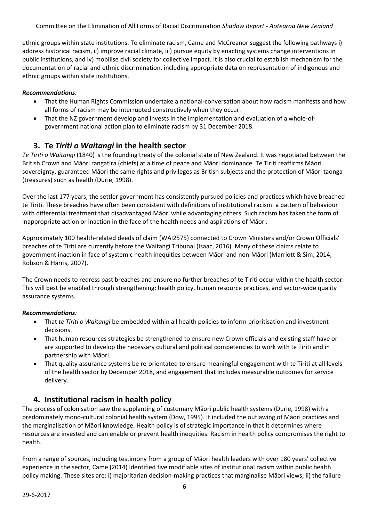ethnic groups within state institutions. To eliminate racism, Came and McCreanor suggest the following pathways i) address historical racism, ii) improve racial climate, iii) pursue equity by enacting systems change interventions in public institutions, and iv) mobilise civil society for collective impact. It is also crucial to establish mechanism for the documentation of racial and ethnic discrimination, including appropriate data on representation of indigenous and ethnic groups within state institutions.

### *Recommendations:*

- That the Human Rights Commission undertake a national-conversation about how racism manifests and how all forms of racism may be interrupted constructively when they occur.
- That the NZ government develop and invests in the implementation and evaluation of a whole-ofgovernment national action plan to eliminate racism by 31 December 2018.

# **3. Te** *Tiriti o Waitangi* **in the health sector**

*Te Tiriti o Waitangi* (1840) is the founding treaty of the colonial state of New Zealand. It was negotiated between the British Crown and Māori rangatira (chiefs) at a time of peace and Māori dominance. Te Tiriti reaffirms Māori sovereignty, guaranteed Māori the same rights and privileges as British subjects and the protection of Māori taonga (treasures) such as health (Durie, 1998).

Over the last 177 years, the settler government has consistently pursued policies and practices which have breached te Tiriti. These breaches have often been consistent with definitions of institutional racism: a pattern of behaviour with differential treatment that disadvantaged Māori while advantaging others. Such racism has taken the form of inappropriate action or inaction in the face of the health needs and aspirations of Māori.

Approximately 100 health-related deeds of claim (WAI2575) connected to Crown Ministers and/or Crown Officials' breaches of te Tiriti are currently before the Waitangi Tribunal (Isaac, 2016). Many of these claims relate to government inaction in face of systemic health inequities between Māori and non-Māori (Marriott & Sim, 2014; Robson & Harris, 2007).

The Crown needs to redress past breaches and ensure no further breaches of te Tiriti occur within the health sector. This will best be enabled through strengthening: health policy, human resource practices, and sector-wide quality assurance systems.

### *Recommendations:*

- That *te Tiriti o Waitangi* be embedded within all health policies to inform prioritisation and investment decisions.
- That human resources strategies be strengthened to ensure new Crown officials and existing staff have or are supported to develop the necessary cultural and political competencies to work with te Tiriti and in partnership with Māori.
- That quality assurance systems be re-orientated to ensure meaningful engagement with te Tiriti at all levels of the health sector by December 2018, and engagement that includes measurable outcomes for service delivery.

# **4. Institutional racism in health policy**

The process of colonisation saw the supplanting of customary Māori public health systems (Durie, 1998) with a predominately mono-cultural colonial health system (Dow, 1995). It included the outlawing of Māori practices and the marginalisation of Māori knowledge. Health policy is of strategic importance in that it determines where resources are invested and can enable or prevent health inequities. Racism in health policy compromises the right to health.

From a range of sources, including testimony from a group of Māori health leaders with over 180 years' collective experience in the sector, Came (2014) identified five modifiable sites of institutional racism within public health policy making. These sites are: i) majoritarian decision-making practices that marginalise Māori views; ii) the failure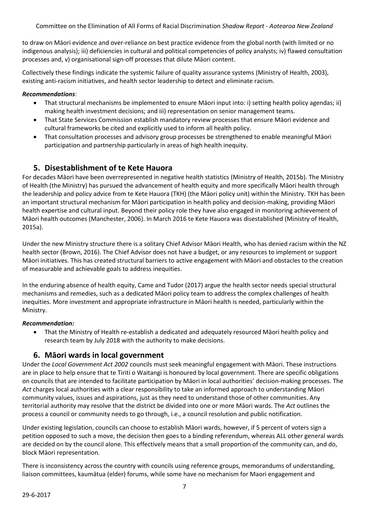to draw on Māori evidence and over-reliance on best practice evidence from the global north (with limited or no indigenous analysis); iii) deficiencies in cultural and political competencies of policy analysts; iv) flawed consultation processes and, v) organisational sign-off processes that dilute Māori content.

Collectively these findings indicate the systemic failure of quality assurance systems (Ministry of Health, 2003), existing anti-racism initiatives, and health sector leadership to detect and eliminate racism.

### *Recommendations:*

- That structural mechanisms be implemented to ensure Māori input into: i) setting health policy agendas; ii) making health investment decisions; and iii) representation on senior management teams.
- That State Services Commission establish mandatory review processes that ensure Māori evidence and cultural frameworks be cited and explicitly used to inform all health policy.
- That consultation processes and advisory group processes be strengthened to enable meaningful Māori participation and partnership particularly in areas of high health inequity.

# **5. Disestablishment of te Kete Hauora**

For decades Māori have been overrepresented in negative health statistics (Ministry of Health, 2015b). The Ministry of Health (the Ministry) has pursued the advancement of health equity and more specifically Māori health through the leadership and policy advice from te Kete Hauora (TKH) (the Māori policy unit) within the Ministry. TKH has been an important structural mechanism for Māori participation in health policy and decision-making, providing Māori health expertise and cultural input. Beyond their policy role they have also engaged in monitoring achievement of Māori health outcomes (Manchester, 2006). In March 2016 te Kete Hauora was disestablished (Ministry of Health, 2015a).

Under the new Ministry structure there is a solitary Chief Advisor Māori Health, who has denied racism within the NZ health sector (Brown, 2016). The Chief Advisor does not have a budget, or any resources to implement or support Māori initiatives. This has created structural barriers to active engagement with Māori and obstacles to the creation of measurable and achievable goals to address inequities.

In the enduring absence of health equity, Came and Tudor (2017) argue the health sector needs special structural mechanisms and remedies, such as a dedicated Māori policy team to address the complex challenges of health inequities. More investment and appropriate infrastructure in Māori health is needed, particularly within the Ministry.

#### *Recommendation:*

• That the Ministry of Health re-establish a dedicated and adequately resourced Māori health policy and research team by July 2018 with the authority to make decisions.

### **6. Māori wards in local government**

Under the *Local Government Act 2002* councils must seek meaningful engagement with Māori. These instructions are in place to help ensure that te Tiriti o Waitangi is honoured by local government. There are specific obligations on councils that are intended to facilitate participation by Māori in local authorities' decision-making processes. The *Act* charges local authorities with a clear responsibility to take an informed approach to understanding Māori community values, issues and aspirations, just as they need to understand those of other communities. Any territorial authority may resolve that the district be divided into one or more Māori wards. The *Act* outlines the process a council or community needs to go through, i.e., a council resolution and public notification.

Under existing legislation, councils can choose to establish Māori wards, however, if 5 percent of voters sign a petition opposed to such a move, the decision then goes to a binding referendum, whereas ALL other general wards are decided on by the council alone. This effectively means that a small proportion of the community can, and do, block Māori representation.

There is inconsistency across the country with councils using reference groups, memorandums of understanding, liaison committees, kaumātua (elder) forums, while some have no mechanism for Maori engagement and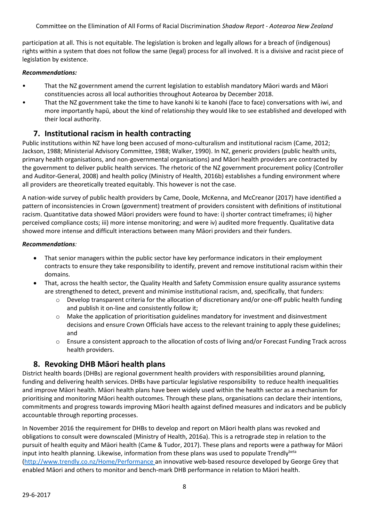participation at all. This is not equitable. The legislation is broken and legally allows for a breach of (indigenous) rights within a system that does not follow the same (legal) process for all involved. It is a divisive and racist piece of legislation by existence.

### *Recommendations:*

- That the NZ government amend the current legislation to establish mandatory Māori wards and Māori constituencies across all local authorities throughout Aotearoa by December 2018.
- That the NZ government take the time to have kanohi ki te kanohi (face to face) conversations with iwi, and more importantly hapū, about the kind of relationship they would like to see established and developed with their local authority.

# **7. Institutional racism in health contracting**

Public institutions within NZ have long been accused of mono-culturalism and institutional racism (Came, 2012; Jackson, 1988; Ministerial Advisory Committee, 1988; Walker, 1990). In NZ, generic providers (public health units, primary health organisations, and non-governmental organisations) and Māori health providers are contracted by the government to deliver public health services. The rhetoric of the NZ government procurement policy (Controller and Auditor-General, 2008) and health policy (Ministry of Health, 2016b) establishes a funding environment where all providers are theoretically treated equitably. This however is not the case.

A nation-wide survey of public health providers by Came, Doole, McKenna, and McCreanor (2017) have identified a pattern of inconsistencies in Crown (government) treatment of providers consistent with definitions of institutional racism. Quantitative data showed Māori providers were found to have: i) shorter contract timeframes; ii) higher perceived compliance costs; iii) more intense monitoring; and were iv) audited more frequently. Qualitative data showed more intense and difficult interactions between many Māori providers and their funders.

### *Recommendations:*

- That senior managers within the public sector have key performance indicators in their employment contracts to ensure they take responsibility to identify, prevent and remove institutional racism within their domains.
- That, across the health sector, the Quality Health and Safety Commission ensure quality assurance systems are strengthened to detect, prevent and minimise institutional racism, and, specifically, that funders:
	- Develop transparent criteria for the allocation of discretionary and/or one-off public health funding and publish it on-line and consistently follow it;
	- o Make the application of prioritisation guidelines mandatory for investment and disinvestment decisions and ensure Crown Officials have access to the relevant training to apply these guidelines; and
	- o Ensure a consistent approach to the allocation of costs of living and/or Forecast Funding Track across health providers.

# **8. Revoking DHB Māori health plans**

District health boards (DHBs) are regional government health providers with responsibilities around planning, funding and delivering health services. DHBs have particular legislative responsibility to reduce health inequalities and improve Māori health. Māori health plans have been widely used within the health sector as a mechanism for prioritising and monitoring Māori health outcomes. Through these plans, organisations can declare their intentions, commitments and progress towards improving Māori health against defined measures and indicators and be publicly accountable through reporting processes.

In November 2016 the requirement for DHBs to develop and report on Māori health plans was revoked and obligations to consult were downscaled (Ministry of Health, 2016a). This is a retrograde step in relation to the pursuit of health equity and Māori health (Came & Tudor, 2017). These plans and reports were a pathway for Māori input into health planning. Likewise, information from these plans was used to populate Trendly<sup>beta</sup> [\(http://www.trendly.co.nz/Home/Performance](http://www.trendly.co.nz/Home/Performance) an innovative web-based resource developed by George Grey that enabled Māori and others to monitor and bench-mark DHB performance in relation to Māori health.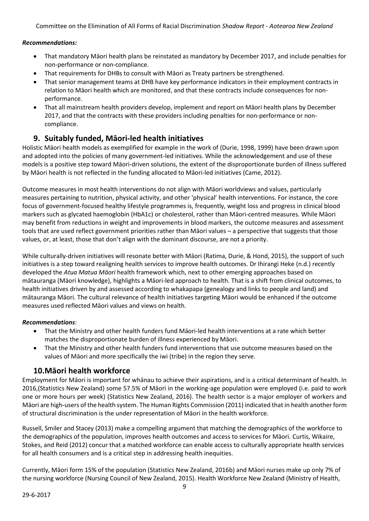### *Recommendations:*

- That mandatory Māori health plans be reinstated as mandatory by December 2017, and include penalties for non-performance or non-compliance.
- That requirements for DHBs to consult with Māori as Treaty partners be strengthened.
- That senior management teams at DHB have key performance indicators in their employment contracts in relation to Māori health which are monitored, and that these contracts include consequences for nonperformance.
- That all mainstream health providers develop, implement and report on Māori health plans by December 2017, and that the contracts with these providers including penalties for non-performance or noncompliance.

# **9. Suitably funded, Māori-led health initiatives**

Holistic Māori health models as exemplified for example in the work of (Durie, 1998, 1999) have been drawn upon and adopted into the policies of many government-led initiatives. While the acknowledgement and use of these models is a positive step toward Māori-driven solutions, the extent of the disproportionate burden of illness suffered by Māori health is not reflected in the funding allocated to Māori-led initiatives (Came, 2012).

Outcome measures in most health interventions do not align with Māori worldviews and values, particularly measures pertaining to nutrition, physical activity, and other 'physical' health interventions. For instance, the core focus of government-focused healthy lifestyle programmes is, frequently, weight loss and progress in clinical blood markers such as glycated haemoglobin (HbA1c) or cholesterol, rather than Māori-centred measures. While Māori may benefit from reductions in weight and improvements in blood markers, the outcome measures and assessment tools that are used reflect government priorities rather than Māori values – a perspective that suggests that those values, or, at least, those that don't align with the dominant discourse, are not a priority.

While culturally-driven initiatives will resonate better with Māori (Ratima, Durie, & Hond, 2015), the support of such initiatives is a step toward realigning health services to improve health outcomes. Dr Ihirangi Heke (n.d.) recently developed the *Atua Matua Māori* health framework which, next to other emerging approaches based on mātauranga (Māori knowledge), highlights a Māori-led approach to health. That is a shift from clinical outcomes, to health initiatives driven by and assessed according to whakapapa (genealogy and links to people and land) and mātauranga Māori. The cultural relevance of health initiatives targeting Māori would be enhanced if the outcome measures used reflected Māori values and views on health.

### *Recommendations:*

- That the Ministry and other health funders fund Māori-led health interventions at a rate which better matches the disproportionate burden of illness experienced by Māori.
- That the Ministry and other health funders fund interventions that use outcome measures based on the values of Māori and more specifically the iwi (tribe) in the region they serve.

# **10.Māori health workforce**

Employment for Māori is important for whānau to achieve their aspirations, and is a critical determinant of health. In 2016,(Statistics New Zealand) some 57.5% of Māori in the working-age population were employed (i.e. paid to work one or more hours per week) (Statistics New Zealand, 2016). The health sector is a major employer of workers and Māori are high-users of the health system. The Human Rights Commission (2011) indicated that in health another form of structural discrimination is the under representation of Māori in the health workforce.

Russell, Smiler and Stacey (2013) make a compelling argument that matching the demographics of the workforce to the demographics of the population, improves health outcomes and access to services for Māori. Curtis, Wikaire, Stokes, and Reid (2012) concur that a matched workforce can enable access to culturally appropriate health services for all health consumers and is a critical step in addressing health inequities.

Currently, Māori form 15% of the population (Statistics New Zealand, 2016b) and Māori nurses make up only 7% of the nursing workforce (Nursing Council of New Zealand, 2015). Health Workforce New Zealand (Ministry of Health,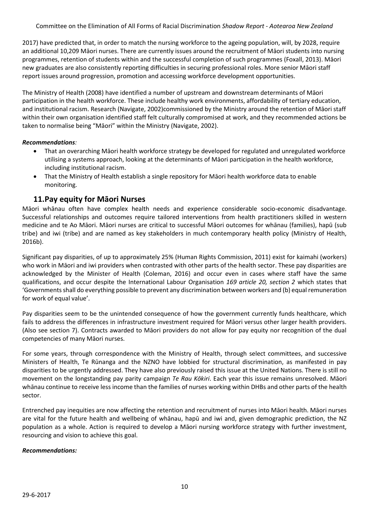2017) have predicted that, in order to match the nursing workforce to the ageing population, will, by 2028, require an additional 10,209 Māori nurses. There are currently issues around the recruitment of Māori students into nursing programmes, retention of students within and the successful completion of such programmes (Foxall, 2013). Māori new graduates are also consistently reporting difficulties in securing professional roles. More senior Māori staff report issues around progression, promotion and accessing workforce development opportunities.

The Ministry of Health (2008) have identified a number of upstream and downstream determinants of Māori participation in the health workforce. These include healthy work environments, affordability of tertiary education, and institutional racism. Research (Navigate, 2002)commissioned by the Ministry around the retention of Māori staff within their own organisation identified staff felt culturally compromised at work, and they recommended actions be taken to normalise being "Māori" within the Ministry (Navigate, 2002).

### *Recommendations:*

- That an overarching Māori health workforce strategy be developed for regulated and unregulated workforce utilising a systems approach, looking at the determinants of Māori participation in the health workforce, including institutional racism.
- That the Ministry of Health establish a single repository for Māori health workforce data to enable monitoring.

# **11.Pay equity for Māori Nurses**

Māori whānau often have complex health needs and experience considerable socio-economic disadvantage. Successful relationships and outcomes require tailored interventions from health practitioners skilled in western medicine and te Ao Māori. Māori nurses are critical to successful Māori outcomes for whānau (families), hapū (sub tribe) and iwi (tribe) and are named as key stakeholders in much contemporary health policy (Ministry of Health, 2016b).

Significant pay disparities, of up to approximately 25% (Human Rights Commission, 2011) exist for kaimahi (workers) who work in Māori and iwi providers when contrasted with other parts of the health sector. These pay disparities are acknowledged by the Minister of Health (Coleman, 2016) and occur even in cases where staff have the same qualifications, and occur despite the International Labour Organisation *169 article 20, section 2* which states that 'Governments shall do everything possible to prevent any discrimination between workers and (b) equal remuneration for work of equal value'.

Pay disparities seem to be the unintended consequence of how the government currently funds healthcare, which fails to address the differences in infrastructure investment required for Māori versus other larger health providers. (Also see section 7). Contracts awarded to Māori providers do not allow for pay equity nor recognition of the dual competencies of many Māori nurses.

For some years, through correspondence with the Ministry of Health, through select committees, and successive Ministers of Health, Te Rūnanga and the NZNO have lobbied for structural discrimination, as manifested in pay disparities to be urgently addressed. They have also previously raised this issue at the United Nations. There is still no movement on the longstanding pay parity campaign *Te Rau Kōkiri*. Each year this issue remains unresolved. Māori whānau continue to receive less income than the families of nurses working within DHBs and other parts of the health sector.

Entrenched pay inequities are now affecting the retention and recruitment of nurses into Māori health. Māori nurses are vital for the future health and wellbeing of whānau, hapū and iwi and, given demographic prediction, the NZ population as a whole. Action is required to develop a Māori nursing workforce strategy with further investment, resourcing and vision to achieve this goal.

#### *Recommendations:*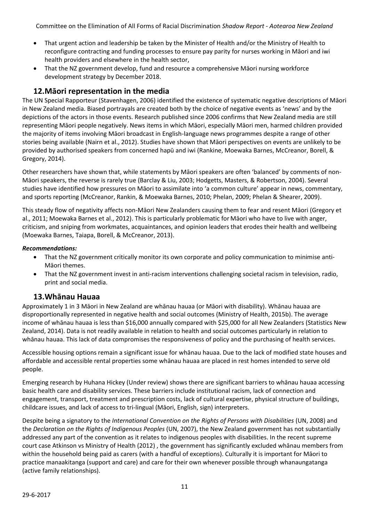- That urgent action and leadership be taken by the Minister of Health and/or the Ministry of Health to reconfigure contracting and funding processes to ensure pay parity for nurses working in Māori and iwi health providers and elsewhere in the health sector,
- That the NZ government develop, fund and resource a comprehensive Māori nursing workforce development strategy by December 2018.

# **12.Māori representation in the media**

The UN Special Rapporteur (Stavenhagen, 2006) identified the existence of systematic negative descriptions of Māori in New Zealand media. Biased portrayals are created both by the choice of negative events as 'news' and by the depictions of the actors in those events. Research published since 2006 confirms that New Zealand media are still representing Māori people negatively. News items in which Māori, especially Māori men, harmed children provided the majority of items involving Māori broadcast in English-language news programmes despite a range of other stories being available (Nairn et al., 2012). Studies have shown that Māori perspectives on events are unlikely to be provided by authorised speakers from concerned hapū and iwi (Rankine, Moewaka Barnes, McCreanor, Borell, & Gregory, 2014).

Other researchers have shown that, while statements by Māori speakers are often 'balanced' by comments of non-Māori speakers, the reverse is rarely true (Barclay & Liu, 2003; Hodgetts, Masters, & Robertson, 2004). Several studies have identified how pressures on Māori to assimilate into 'a common culture' appear in news, commentary, and sports reporting (McCreanor, Rankin, & Moewaka Barnes, 2010; Phelan, 2009; Phelan & Shearer, 2009).

This steady flow of negativity affects non-Māori New Zealanders causing them to fear and resent Māori (Gregory et al., 2011; Moewaka Barnes et al., 2012). This is particularly problematic for Māori who have to live with anger, criticism, and sniping from workmates, acquaintances, and opinion leaders that erodes their health and wellbeing (Moewaka Barnes, Taiapa, Borell, & McCreanor, 2013).

### *Recommendations:*

- That the NZ government critically monitor its own corporate and policy communication to minimise anti-Māori themes.
- That the NZ government invest in anti-racism interventions challenging societal racism in television, radio, print and social media.

### **13.Whānau Hauaa**

Approximately 1 in 3 Māori in New Zealand are whānau hauaa (or Māori with disability). Whānau hauaa are disproportionally represented in negative health and social outcomes (Ministry of Health, 2015b). The average income of whānau hauaa is less than \$16,000 annually compared with \$25,000 for all New Zealanders (Statistics New Zealand, 2014). Data is not readily available in relation to health and social outcomes particularly in relation to whānau hauaa. This lack of data compromises the responsiveness of policy and the purchasing of health services.

Accessible housing options remain a significant issue for whānau hauaa. Due to the lack of modified state houses and affordable and accessible rental properties some whānau hauaa are placed in rest homes intended to serve old people.

Emerging research by Huhana Hickey (Under review) shows there are significant barriers to whānau hauaa accessing basic health care and disability services. These barriers include institutional racism, lack of connection and engagement, transport, treatment and prescription costs, lack of cultural expertise, physical structure of buildings, childcare issues, and lack of access to tri-lingual (Māori, English, sign) interpreters.

Despite being a signatory to the *International Convention on the Rights of Persons with Disabilities* (UN, 2008) and the *Declaration on the Rights of Indigenous Peoples* (UN, 2007), the New Zealand government has not substantially addressed any part of the convention as it relates to indigenous peoples with disabilities. In the recent supreme court case Atkinson vs Ministry of Health (2012) , the government has significantly excluded whānau members from within the household being paid as carers (with a handful of exceptions). Culturally it is important for Māori to practice manaakitanga (support and care) and care for their own whenever possible through whanaungatanga (active family relationships).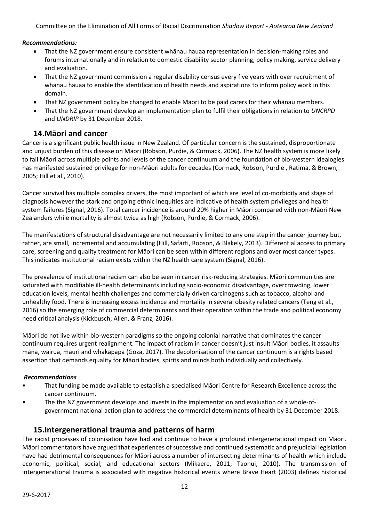### *Recommendations:*

- That the NZ government ensure consistent whānau hauaa representation in decision-making roles and forums internationally and in relation to domestic disability sector planning, policy making, service delivery and evaluation.
- That the NZ government commission a regular disability census every five years with over recruitment of whānau hauaa to enable the identification of health needs and aspirations to inform policy work in this domain.
- That NZ government policy be changed to enable Māori to be paid carers for their whānau members.
- That the NZ government develop an implementation plan to fulfil their obligations in relation to *UNCRPD* and *UNDRIP* by 31 December 2018.

### **14.Māori and cancer**

Cancer is a significant public health issue in New Zealand. Of particular concern is the sustained, disproportionate and unjust burden of this disease on Māori (Robson, Purdie, & Cormack, 2006). The NZ health system is more likely to fail Māori across multiple points and levels of the cancer continuum and the foundation of bio-western idealogies has manifested sustained privilege for non-Māori adults for decades (Cormack, Robson, Purdie , Ratima, & Brown, 2005; Hill et al., 2010).

Cancer survival has multiple complex drivers, the most important of which are level of co-morbidity and stage of diagnosis however the stark and ongoing ethnic inequities are indicative of health system privileges and health system failures (Signal, 2016). Total cancer incidence is around 20% higher in Māori compared with non-Māori New Zealanders while mortality is almost twice as high (Robson, Purdie, & Cormack, 2006).

The manifestations of structural disadvantage are not necessarily limited to any one step in the cancer journey but, rather, are small, incremental and accumulating (Hill, Safarti, Robson, & Blakely, 2013). Differential access to primary care, screening and quality treatment for Māori can be seen within different regions and over most cancer types. This indicates institutional racism exists within the NZ health care system (Signal, 2016).

The prevalence of institutional racism can also be seen in cancer risk-reducing strategies. Māori communities are saturated with modifiable ill-health determinants including socio-economic disadvantage, overcrowding, lower education levels, mental health challenges and commercially driven carcinogens such as tobacco, alcohol and unhealthy food. There is increasing excess incidence and mortality in several obesity related cancers (Teng et al., 2016) so the emerging role of commercial determinants and their operation within the trade and political economy need critical analysis (Kickbusch, Allen, & Franz, 2016).

Māori do not live within bio-western paradigms so the ongoing colonial narrative that dominates the cancer continuum requires urgent realignment. The impact of racism in cancer doesn't just insult Māori bodies, it assaults mana, wairua, mauri and whakapapa (Goza, 2017). The decolonisation of the cancer continuum is a rights based assertion that demands equality for Māori bodies, spirits and minds both individually and collectively.

#### *Recommendations*

- That funding be made available to establish a specialised Māori Centre for Research Excellence across the cancer continuum.
- The the NZ government develops and invests in the implementation and evaluation of a whole-ofgovernment national action plan to address the commercial determinants of health by 31 December 2018.

### **15.Intergenerational trauma and patterns of harm**

The racist processes of colonisation have had and continue to have a profound intergenerational impact on Māori. Māori commentators have argued that experiences of successive and continued systematic and prejudicial legislation have had detrimental consequences for Māori across a number of intersecting determinants of health which include economic, political, social, and educational sectors (Mikaere, 2011; Taonui, 2010). The transmission of intergenerational trauma is associated with negative historical events where Brave Heart (2003) defines historical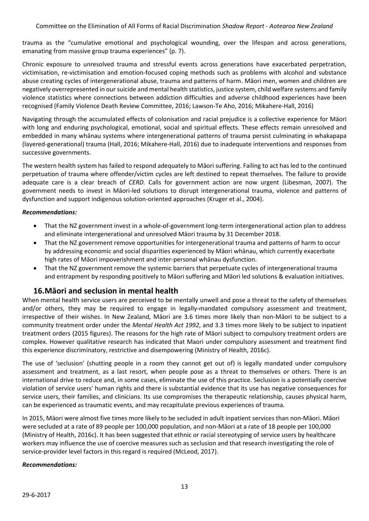trauma as the "cumulative emotional and psychological wounding, over the lifespan and across generations, emanating from massive group trauma experiences" (p. 7).

Chronic exposure to unresolved trauma and stressful events across generations have exacerbated perpetration, victimisation, re-victimisation and emotion-focused coping methods such as problems with alcohol and substance abuse creating cycles of intergenerational abuse, trauma and patterns of harm. Māori men, women and children are negatively overrepresented in our suicide and mental health statistics, justice system, child welfare systems and family violence statistics where connections between addiction difficulties and adverse childhood experiences have been recognised (Family Violence Death Review Committee, 2016; Lawson-Te Aho, 2016; Mikahere-Hall, 2016)

Navigating through the accumulated effects of colonisation and racial prejudice is a collective experience for Māori with long and enduring psychological, emotional, social and spiritual effects. These effects remain unresolved and embedded in many whānau systems where intergenerational patterns of trauma persist culminating in whakapapa (layered-generational) trauma (Hall, 2016; Mikahere-Hall, 2016) due to inadequate interventions and responses from successive governments.

The western health system has failed to respond adequately to Māori suffering. Failing to act has led to the continued perpetuation of trauma where offender/victim cycles are left destined to repeat themselves. The failure to provide adequate care is a clear breach of *CERD.* Calls for government action are now urgent (Libesman, 2007). The government needs to invest in Māori-led solutions to disrupt intergenerational trauma, violence and patterns of dysfunction and support indigenous solution-oriented approaches (Kruger et al., 2004).

### *Recommendations:*

- That the NZ government invest in a whole-of-government long-term intergenerational action plan to address and eliminate intergenerational and unresolved Māori trauma by 31 December 2018.
- That the NZ government remove opportunities for intergenerational trauma and patterns of harm to occur by addressing economic and social disparities experienced by Māori whānau, which currently exacerbate high rates of Māori impoverishment and inter-personal whānau dysfunction.
- That the NZ government remove the systemic barriers that perpetuate cycles of intergenerational trauma and entrapment by responding positively to Māori suffering and Māori led solutions & evaluation initiatives.

### **16.Māori and seclusion in mental health**

When mental health service users are perceived to be mentally unwell and pose a threat to the safety of themselves and/or others, they may be required to engage in legally-mandated compulsory assessment and treatment, irrespective of their wishes. In New Zealand, Māori are 3.6 times more likely than non-Māori to be subject to a community treatment order under the *Mental Health Act 1992*, and 3.3 times more likely to be subject to inpatient treatment orders (2015 figures). The reasons for the high rate of Māori subject to compulsory treatment orders are complex. However qualitative research has indicated that Maori under compulsory assessment and treatment find this experience discriminatory, restrictive and disempowering (Ministry of Health, 2016c).

The use of 'seclusion' (shutting people in a room they cannot get out of) is legally mandated under compulsory assessment and treatment, as a last resort, when people pose as a threat to themselves or others. There is an international drive to reduce and, in some cases, eliminate the use of this practice. Seclusion is a potentially coercive violation of service users' human rights and there is substantial evidence that its use has negative consequences for service users, their families, and clinicians. Its use compromises the therapeutic relationship, causes physical harm, can be experienced as traumatic events, and may recapitulate previous experiences of trauma.

In 2015, Māori were almost five times more likely to be secluded in adult inpatient services than non-Māori. Māori were secluded at a rate of 89 people per 100,000 population, and non-Māori at a rate of 18 people per 100,000 (Ministry of Health, 2016c). It has been suggested that ethnic or racial stereotyping of service users by healthcare workers may influence the use of coercive measures such as seclusion and that research investigating the role of service-provider level factors in this regard is required (McLeod, 2017).

#### *Recommendations:*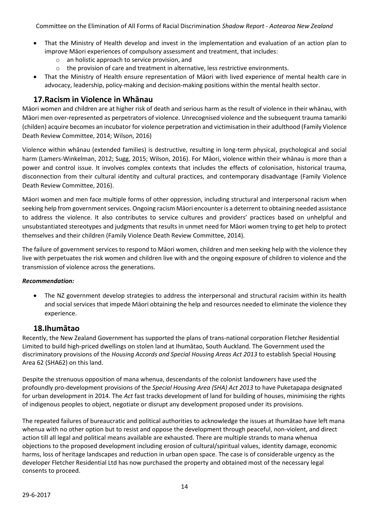- That the Ministry of Health develop and invest in the implementation and evaluation of an action plan to improve Māori experiences of compulsory assessment and treatment, that includes:
	- o an holistic approach to service provision, and
	- $\circ$  the provision of care and treatment in alternative, less restrictive environments.
- That the Ministry of Health ensure representation of Māori with lived experience of mental health care in advocacy, leadership, policy-making and decision-making positions within the mental health sector.

# **17.Racism in Violence in Whānau**

Māori women and children are at higher risk of death and serious harm as the result of violence in their whānau, with Māori men over-represented as perpetrators of violence. Unrecognised violence and the subsequent trauma tamariki (childen) acquire becomes an incubator for violence perpetration and victimisation in their adulthood (Family Violence Death Review Committee, 2014; Wilson, 2016)

Violence within whānau (extended families) is destructive, resulting in long-term physical, psychological and social harm (Lamers-Winkelman, 2012; Sugg, 2015; Wilson, 2016). For Māori, violence within their whānau is more than a power and control issue. It involves complex contexts that includes the effects of colonisation, historical trauma, disconnection from their cultural identity and cultural practices, and contemporary disadvantage (Family Violence Death Review Committee, 2016).

Māori women and men face multiple forms of other oppression, including structural and interpersonal racism when seeking help from government services. Ongoing racism Māori encounter is a deterrent to obtaining needed assistance to address the violence. It also contributes to service cultures and providers' practices based on unhelpful and unsubstantiated stereotypes and judgments that results in unmet need for Māori women trying to get help to protect themselves and their children (Family Violence Death Review Committee, 2014).

The failure of government services to respond to Māori women, children and men seeking help with the violence they live with perpetuates the risk women and children live with and the ongoing exposure of children to violence and the transmission of violence across the generations.

### *Recommendation:*

• The NZ government develop strategies to address the interpersonal and structural racisim within its health and social services that impede Māori obtaining the help and resources needed to eliminate the violence they experience.

### **18.Ihumātao**

Recently, the New Zealand Government has supported the plans of trans-national corporation Fletcher Residential Limited to build high-priced dwellings on stolen land at Ihumātao, South Auckland. The Government used the discriminatory provisions of the *Housing Accords and Special Housing Areas Act 2013* to establish Special Housing Area 62 (SHA62) on this land.

Despite the strenuous opposition of mana whenua, descendants of the colonist landowners have used the profoundly pro-development provisions of the *Special Housing Area (SHA) Act 2013* to have Puketapapa designated for urban development in 2014. The *Act* fast tracks development of land for building of houses, minimising the rights of indigenous peoples to object, negotiate or disrupt any development proposed under its provisions.

The repeated failures of bureaucratic and political authorities to acknowledge the issues at Ihumātao have left mana whenua with no other option but to resist and oppose the development through peaceful, non-violent, and direct action till all legal and political means available are exhausted. There are multiple strands to mana whenua objections to the proposed development including erosion of cultural/spiritual values, identity damage, economic harms, loss of heritage landscapes and reduction in urban open space. The case is of considerable urgency as the developer Fletcher Residential Ltd has now purchased the property and obtained most of the necessary legal consents to proceed.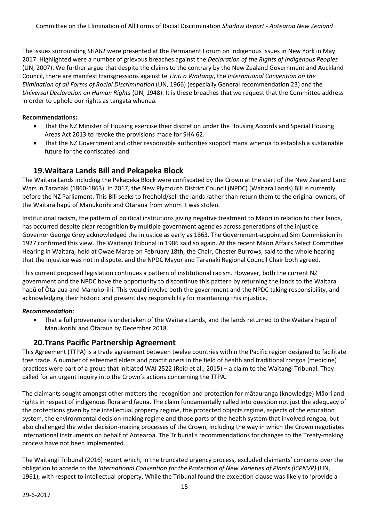The issues surrounding SHA62 were presented at the Permanent Forum on Indigenous Issues in New York in May 2017. Highlighted were a number of grievous breaches against the *Declaration of the Rights of Indigenous Peoples* (UN, 2007). We further argue that despite the claims to the contrary by the New Zealand Government and Auckland Council, there are manifest transgressions against te *Tiriti o Waitangi*, the *International Convention on the Elimination of all Forms of Racial Discrimination* (UN, 1966) (especially General recommendation 23) and the *Universal Declaration on Human Rights* (UN, 1948). It is these breaches that we request that the Committee address in order to uphold our rights as tangata whenua.

### **Recommendations:**

- That the NZ Minister of Housing exercise their discretion under the Housing Accords and Special Housing Areas Act 2013 to revoke the provisions made for SHA 62.
- That the NZ Government and other responsible authorities support mana whenua to establish a sustainable future for the confiscated land.

# **19.Waitara Lands Bill and Pekapeka Block**

The Waitara Lands including the Pekapeka Block were confiscated by the Crown at the start of the New Zealand Land Wars in Taranaki (1860-1863). In 2017, the New Plymouth District Council (NPDC) (Waitara Lands) Bill is currently before the NZ Parliament. This Bill seeks to freehold/sell the lands rather than return them to the original owners, of the Waitara hapū of Manukorihi and Ōtaraua from whom it was stolen.

Institutional racism, the pattern of political institutions giving negative treatment to Māori in relation to their lands, has occurred despite clear recognition by multiple government agencies across generations of the injustice. Governor George Grey acknowledged the injustice as early as 1863. The Government-appointed Sim Commission in 1927 confirmed this view. The Waitangi Tribunal in 1986 said so again. At the recent Māori Affairs Select Committee Hearing in Waitara, held at Owae Marae on February 18th, the Chair, Chester Burrows, said to the whole hearing that the injustice was not in dispute, and the NPDC Mayor and Taranaki Regional Council Chair both agreed.

This current proposed legislation continues a pattern of institutional racism. However, both the current NZ government and the NPDC have the opportunity to discontinue this pattern by returning the lands to the Waitara hapū of Ōtaraua and Manukorihi. This would involve both the government and the NPDC taking responsibility, and acknowledging their historic and present day responsibility for maintaining this injustice.

### *Recommendation:*

• That a full provenance is undertaken of the Waitara Lands, and the lands returned to the Waitara hapū of Manukorihi and Ōtaraua by December 2018.

# **20.Trans Pacific Partnership Agreement**

This Agreement (TTPA) is a trade agreement between twelve countries within the Pacific region designed to facilitate free trade. A number of esteemed elders and practitioners in the field of health and traditional rongoa (medicine) practices were part of a group that initiated WAI 2522 (Reid et al., 2015) – a claim to the Waitangi Tribunal. They called for an urgent inquiry into the Crown's actions concerning the TTPA.

The claimants sought amongst other matters the recognition and protection for mātauranga (knowledge) Māori and rights in respect of indigenous flora and fauna. The claim fundamentally called into question not just the adequacy of the protections given by the intellectual property regime, the protected objects regime, aspects of the education system, the environmental decision-making regime and those parts of the health system that involved rongoa, but also challenged the wider decision-making processes of the Crown, including the way in which the Crown negotiates international instruments on behalf of Aotearoa. The Tribunal's recommendations for changes to the Treaty-making process have not been implemented.

The Waitangi Tribunal (2016) report which, in the truncated urgency process, excluded claimants' concerns over the obligation to accede to the *International Convention for the Protection of New Varieties of Plants (ICPNVP)* (UN, 1961), with respect to intellectual property. While the Tribunal found the exception clause was likely to 'provide a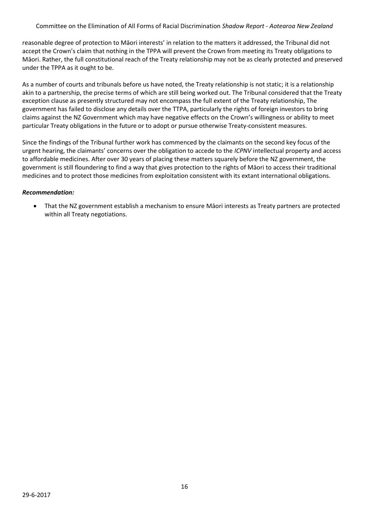reasonable degree of protection to Māori interests' in relation to the matters it addressed, the Tribunal did not accept the Crown's claim that nothing in the TPPA will prevent the Crown from meeting its Treaty obligations to Māori. Rather, the full constitutional reach of the Treaty relationship may not be as clearly protected and preserved under the TPPA as it ought to be.

As a number of courts and tribunals before us have noted, the Treaty relationship is not static; it is a relationship akin to a partnership, the precise terms of which are still being worked out. The Tribunal considered that the Treaty exception clause as presently structured may not encompass the full extent of the Treaty relationship, The government has failed to disclose any details over the TTPA, particularly the rights of foreign investors to bring claims against the NZ Government which may have negative effects on the Crown's willingness or ability to meet particular Treaty obligations in the future or to adopt or pursue otherwise Treaty-consistent measures.

Since the findings of the Tribunal further work has commenced by the claimants on the second key focus of the urgent hearing, the claimants' concerns over the obligation to accede to the *ICPNV* intellectual property and access to affordable medicines. After over 30 years of placing these matters squarely before the NZ government, the government is still floundering to find a way that gives protection to the rights of Māori to access their traditional medicines and to protect those medicines from exploitation consistent with its extant international obligations.

### *Recommendation:*

• That the NZ government establish a mechanism to ensure Māori interests as Treaty partners are protected within all Treaty negotiations.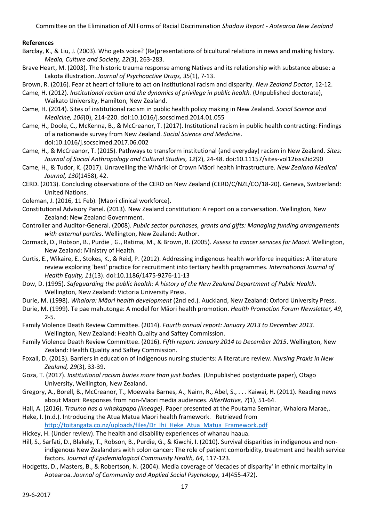### **References**

- Barclay, K., & Liu, J. (2003). Who gets voice? (Re)presentations of bicultural relations in news and making history. *Media, Culture and Society, 22*(3), 263-283.
- Brave Heart, M. (2003). The historic trauma response among Natives and its relationship with substance abuse: a Lakota illustration. *Journal of Psychoactive Drugs, 35*(1), 7-13.
- Brown, R. (2016). Fear at heart of failure to act on institutional racism and disparity. *New Zealand Doctor*, 12-12.
- Came, H. (2012). *Institutional racism and the dynamics of privilege in public health.* (Unpublished doctorate), Waikato University, Hamilton, New Zealand.
- Came, H. (2014). Sites of institutional racism in public health policy making in New Zealand. *Social Science and Medicine, 106*(0), 214-220. doi:10.1016/j.socscimed.2014.01.055
- Came, H., Doole, C., McKenna, B., & McCreanor, T. (2017). Institutional racism in public health contracting: Findings of a nationwide survey from New Zealand. *Social Science and Medicine*. doi:10.1016/j.socscimed.2017.06.002
- Came, H., & McCreanor, T. (2015). Pathways to transform institutional (and everyday) racism in New Zealand. *Sites: Journal of Social Anthropology and Cultural Studies, 12*(2), 24-48. doi:10.11157/sites-vol12isss2id290
- Came, H., & Tudor, K. (2017). Unravelling the Whāriki of Crown Māori health infrastructure. *New Zealand Medical Journal, 130*(1458), 42.
- CERD. (2013). Concluding observations of the CERD on New Zealand (CERD/C/NZL/CO/18-20). Geneva, Switzerland: United Nations.
- Coleman, J. (2016, 11 Feb). [Maori clinical workforce].
- Constitutional Advisory Panel. (2013). New Zealand constitution: A report on a conversation. Wellington, New Zealand: New Zealand Government.
- Controller and Auditor-General. (2008). *Public sector purchases, grants and gifts: Managing funding arrangements with external parties*. Wellington, New Zealand: Author.
- Cormack, D., Robson, B., Purdie , G., Ratima, M., & Brown, R. (2005). *Assess to cancer services for Maori*. Wellington, New Zealand: Ministry of Health.
- Curtis, E., Wikaire, E., Stokes, K., & Reid, P. (2012). Addressing indigenous health workforce inequities: A literature review exploring 'best' practice for recruitment into tertiary health programmes. *International Journal of Health Equity, 11*(13). doi:10.1186/1475-9276-11-13
- Dow, D. (1995). *Safeguarding the public health: A history of the New Zealand Department of Public Health*. Wellington, New Zealand: Victoria University Press.
- Durie, M. (1998). *Whaiora: Māori health development* (2nd ed.). Auckland, New Zealand: Oxford University Press.
- Durie, M. (1999). Te pae mahutonga: A model for Māori health promotion. *Health Promotion Forum Newsletter, 49*, 2-5.
- Family Violence Death Review Committee. (2014). *Fourth annual report: January 2013 to December 2013*. Wellington, New Zealand: Health Quality and Saftey Commission.
- Family Violence Death Review Committee. (2016). *Fifth report: January 2014 to December 2015*. Wellington, New Zealand: Health Quality and Saftey Commission.
- Foxall, D. (2013). Barriers in education of indigenous nursing students: A literature review. *Nursing Praxis in New Zealand, 29*(3), 33-39.
- Goza, T. (2017). *Institutional racism buries more than just bodies.* (Unpublished postgrduate paper), Otago University, Wellington, New Zealand.
- Gregory, A., Borell, B., McCreanor, T., Moewaka Barnes, A., Nairn, R., Abel, S., . . . Kaiwai, H. (2011). Reading news about Maori: Responses from non-Maori media audiences. *AlterNative, 7*(1), 51-64.
- Hall, A. (2016). *Trauma has a whakapapa (lineage)*. Paper presented at the Poutama Seminar, Whaiora Marae,.
- Heke, I. (n.d.). Introducing the Atua Matua Maori health framework. Retrieved from [http://toitangata.co.nz/uploads/files/Dr\\_Ihi\\_Heke\\_Atua\\_Matua\\_Framework.pdf](http://toitangata.co.nz/uploads/files/Dr_Ihi_Heke_Atua_Matua_Framework.pdf)
- Hickey, H. (Under review). The health and disability experiences of whanau haaua.
- Hill, S., Sarfati, D., Blakely, T., Robson, B., Purdie, G., & Kiwchi, I. (2010). Survival disparities in indigenous and nonindigenous New Zealanders with colon cancer: The role of patient comorbidity, treatment and health service factors. *Journal of Epidemiological Community Health, 64*, 117-123.
- Hodgetts, D., Masters, B., & Robertson, N. (2004). Media coverage of 'decades of disparity' in ethnic mortality in Aotearoa. *Journal of Community and Applied Social Psychology, 14*(455-472).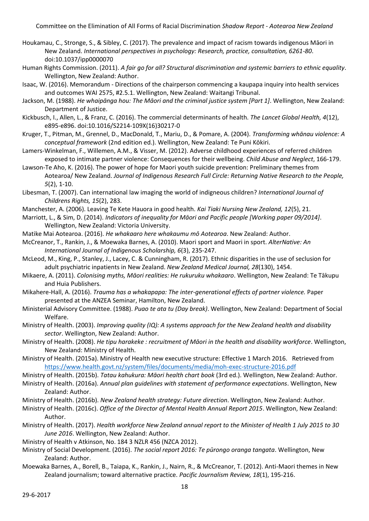- Houkamau, C., Stronge, S., & Sibley, C. (2017). The prevalence and impact of racism towards indigenous Māori in New Zealand. *International perspectives in psychology: Research, practice, consultation, 6261-80*. doi:10.1037/ipp0000070
- Human Rights Commission. (2011). *A fair go for all? Structural discrimination and systemic barriers to ethnic equality*. Wellington, New Zealand: Author.
- Isaac, W. (2016). Memorandum Directions of the chairperson commencing a kaupapa inquiry into health services and outcomes WAI 2575, #2.5.1. Wellington, New Zealand: Waitangi Tribunal.
- Jackson, M. (1988). *He whaipānga hou: The Māori and the criminal justice system [Part 1]*. Wellington, New Zealand: Department of Justice.
- Kickbusch, I., Allen, L., & Franz, C. (2016). The commercial determinants of health. *The Lancet Global Health, 4*(12), e895-e896. doi:10.1016/S2214-109X(16)30217-0
- Kruger, T., Pitman, M., Grennel, D., MacDonald, T., Mariu, D., & Pomare, A. (2004). *Transforming whānau violence: A conceptual framework* (2nd edition ed.). Wellington, New Zealand: Te Puni Kōkiri.
- Lamers-Winkelman, F., Willemen, A.M., & Visser, M. (2012). Adverse childhood experiences of referred children exposed to intimate partner violence: Consequences for their wellbeing. *Child Abuse and Neglect*, 166-179.
- Lawson-Te Aho, K. (2016). The power of hope for Maori youth suicide prevention: Preliminary themes from Aotearoa/ New Zealand. *Journal of Indigenous Research Full Circle: Returning Native Research to the People, 5*(2), 1-10.
- Libesman, T. (2007). Can international law imaging the world of indigneous children? *International Journal of Childrens Rights, 15*(2), 283.
- Manchester, A. (2006). Leaving Te Kete Hauora in good health. *Kai Tiaki Nursing New Zealand, 12*(5), 21.
- Marriott, L., & Sim, D. (2014). *Indicators of inequality for Māori and Pacific people [Working paper 09/2014]*. Wellington, New Zealand: Victoria University.
- Matike Mai Aotearoa. (2016). *He whakaaro here whakaumu mō Aotearoa*. New Zealand: Author.
- McCreanor, T., Rankin, J., & Moewaka Barnes, A. (2010). Maori sport and Maori in sport. *AlterNative: An International Journal of Indigenous Scholarship, 6*(3), 235-247.
- McLeod, M., King, P., Stanley, J., Lacey, C. & Cunningham, R. (2017). Ethnic disparities in the use of seclusion for adult psychiatric inpatients in New Zealand. *New Zealand Medical Journal, 28*(130), 1454.
- Mikaere, A. (2011). *Colonising myths, Māori realities: He rukuruku whakaaro*. Wellington, New Zealand: Te Tākupu and Huia Publishers.
- Mikahere-Hall, A. (2016). *Trauma has a whakapapa: The inter-generational effects of partner violence.* Paper presented at the ANZEA Seminar, Hamilton, New Zealand.
- Ministerial Advisory Committee. (1988). *Puao te ata tu (Day break)*. Wellington, New Zealand: Department of Social Welfare.
- Ministry of Health. (2003). *Improving quality (IQ): A systems approach for the New Zealand health and disability sector*. Wellington, New Zealand: Author.
- Ministry of Health. (2008). *He tipu harakeke : recruitment of Māori in the health and disability workforce*. Wellington, New Zealand: Ministry of Health.
- Ministry of Health. (2015a). Ministry of Health new executive structure: Effective 1 March 2016. Retrieved from <https://www.health.govt.nz/system/files/documents/media/moh-exec-structure-2016.pdf>
- Ministry of Health. (2015b). *Tatau kahukura: Māori health chart book* (3rd ed.). Wellington, New Zealand: Author. Ministry of Health. (2016a). *Annual plan guidelines with statement of performance expectations*. Wellington, New Zealand: Author.
- Ministry of Health. (2016b). *New Zealand health strategy: Future direction*. Wellington, New Zealand: Author.
- Ministry of Health. (2016c). *Office of the Director of Mental Health Annual Report 2015*. Wellington, New Zealand: Author.
- Ministry of Health. (2017). *Health workforce New Zealand annual report to the Minister of Health 1 July 2015 to 30 June 2016*. Wellington, New Zealand: Author.
- Ministry of Health v Atkinson, No. 184 3 NZLR 456 (NZCA 2012).
- Ministry of Social Development. (2016). *The social report 2016: Te pūrongo oranga tangata*. Wellington, New Zealand: Author.
- Moewaka Barnes, A., Borell, B., Taiapa, K., Rankin, J., Nairn, R., & McCreanor, T. (2012). Anti-Maori themes in New Zealand journalism; toward alternative practice. *Pacific Journalism Review, 18*(1), 195-216.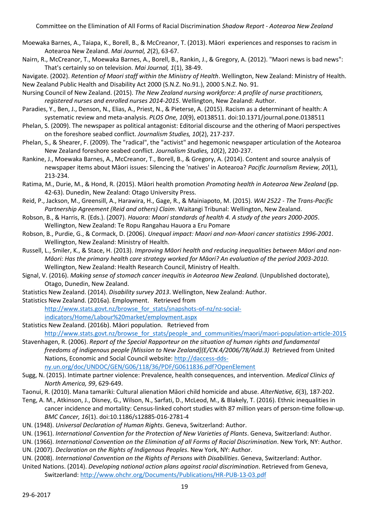- Moewaka Barnes, A., Taiapa, K., Borell, B., & McCreanor, T. (2013). Māori experiences and responses to racism in Aotearoa New Zealand. *Mai Journal, 2*(2), 63-67.
- Nairn, R., McCreanor, T., Moewaka Barnes, A., Borell, B., Rankin, J., & Gregory, A. (2012). "Maori news is bad news": That's certainly so on television. *Mai Journal, 1*(1), 38-49.
- Navigate. (2002). *Retention of Maori staff within the Ministry of Health*. Wellington, New Zealand: Ministry of Health. New Zealand Public Health and Disability Act 2000 (S.N.Z. No.91.), 2000 S.N.Z. No. 91.
- Nursing Council of New Zealand. (2015). *The New Zealand nursing workforce: A profile of nurse practitioners, registered nurses and enrolled nurses 2014-2015*. Wellington, New Zealand: Author.
- Paradies, Y., Ben, J., Denson, N., Elias, A., Priest, N., & Pieterse, A. (2015). Racism as a determinant of health: A systematic review and meta-analysis. *PLOS One, 10*(9), e0138511. doi:10.1371/journal.pone.0138511
- Phelan, S. (2009). The newspaper as political antagonist: Editorial discourse and the othering of Maori perspectives on the foreshore seabed conflict. *Journalism Studies, 10*(2), 217-237.
- Phelan, S., & Shearer, F. (2009). The "radical", the "activist" and hegemonic newspaper articulation of the Aotearoa New Zealand foreshore seabed conflict. *Journalism Studies, 10*(2), 220-237.
- Rankine, J., Moewaka Barnes, A., McCreanor, T., Borell, B., & Gregory, A. (2014). Content and source analysis of newspaper items about Māori issues: Silencing the 'natives' in Aotearoa? *Pacific Journalism Review, 20*(1), 213-234.
- Ratima, M., Durie, M., & Hond, R. (2015). Māori health promotion *Promoting health in Aotearoa New Zealand* (pp. 42-63). Dunedin, New Zealand: Otago University Press.
- Reid, P., Jackson, M., Greensill, A., Harawira, H., Gage, R., & Mainiapoto, M. (2015). *WAI 2522 - The Trans-Pacific Partnership Agreement (Reid and others) Claim*. Waitangi Tribunal: Wellington, New Zealand.
- Robson, B., & Harris, R. (Eds.). (2007). *Hauora: Maori standards of health 4. A study of the years 2000-2005*. Wellington, New Zealand: Te Ropu Rangahau Hauora a Eru Pomare
- Robson, B., Purdie, G., & Cormack, D. (2006). *Unequal impact: Maori and non-Maori cancer statistics 1996-2001*. Wellington, New Zealand: Ministry of Health.
- Russell, L., Smiler, K., & Stace, H. (2013). *Improving Māori health and reducing inequalities between Māori and non-Māori: Has the primary health care strategy worked for Māori? An evaluation of the period 2003-2010*. Wellington, New Zealand: Health Research Council, Ministry of Health.
- Signal, V. (2016). *Making sense of stomach cancer inequitis in Aotearoa New Zealand.* (Unpublished doctorate), Otago, Dunedin, New Zealand.
- Statistics New Zealand. (2014). *Disability survey 2013*. Wellington, New Zealand: Author.
- Statistics New Zealand. (2016a). Employment. Retrieved from

[http://www.stats.govt.nz/browse\\_for\\_stats/snapshots-of-nz/nz-social-](http://www.stats.govt.nz/browse_for_stats/snapshots-of-nz/nz-social-indicators/Home/Labour%20market/employment.aspx)

[indicators/Home/Labour%20market/employment.aspx](http://www.stats.govt.nz/browse_for_stats/snapshots-of-nz/nz-social-indicators/Home/Labour%20market/employment.aspx)

- Statistics New Zealand. (2016b). Māori population. Retrieved from [http://www.stats.govt.nz/browse\\_for\\_stats/people\\_and\\_communities/maori/maori-population-article-2015](http://www.stats.govt.nz/browse_for_stats/people_and_communities/maori/maori-population-article-2015)
- Stavenhagen, R. (2006). *Report of the Special Rapporteur on the situation of human rights and fundamental freedoms of indigenous people [Mission to New Zealand](E/CN.4/2006/78/Add.3)* Retrieved from United Nations, Economic and Social Council website: [http://daccess-dds-](http://daccess-dds-ny.un.org/doc/UNDOC/GEN/G06/118/36/PDF/G0611836.pdf?OpenElement)

[ny.un.org/doc/UNDOC/GEN/G06/118/36/PDF/G0611836.pdf?OpenElement](http://daccess-dds-ny.un.org/doc/UNDOC/GEN/G06/118/36/PDF/G0611836.pdf?OpenElement)

- Sugg, N. (2015). Intimate partner violence: Prevalence, health consequences, and intervention. *Medical Clinics of North America, 99*, 629-649.
- Taonui, R. (2010). Mana tamariki: Cultural alienation Māori child homicide and abuse. *AlterNative, 6*(3), 187-202.
- Teng, A. M., Atkinson, J., Disney, G., Wilson, N., Sarfati, D., McLeod, M., & Blakely, T. (2016). Ethnic inequalities in cancer incidence and mortality: Census-linked cohort studies with 87 million years of person-time follow-up. *BMC Cancer, 16*(1). doi:10.1186/s12885-016-2781-4
- UN. (1948). *Universal Declaration of Human Rights*. Geneva, Switzerland: Author.
- UN. (1961). *International Convention for the Protection of New Varieties of Plants*. Geneva, Switzerland: Author.
- UN. (1966). *International Convention on the Elimination of all Forms of Racial Discrimination*. New York, NY: Author.
- UN. (2007). *Declaration on the Rights of Indigenous Peoples*. New York, NY: Author.
- UN. (2008). *International Convention on the Rights of Persons with Disabilities*. Geneva, Switzerland: Author.
- United Nations. (2014). *Developing national action plans against racial discrimination*. Retrieved from Geneva, Switzerland[: http://www.ohchr.org/Documents/Publications/HR-PUB-13-03.pdf](http://www.ohchr.org/Documents/Publications/HR-PUB-13-03.pdf)